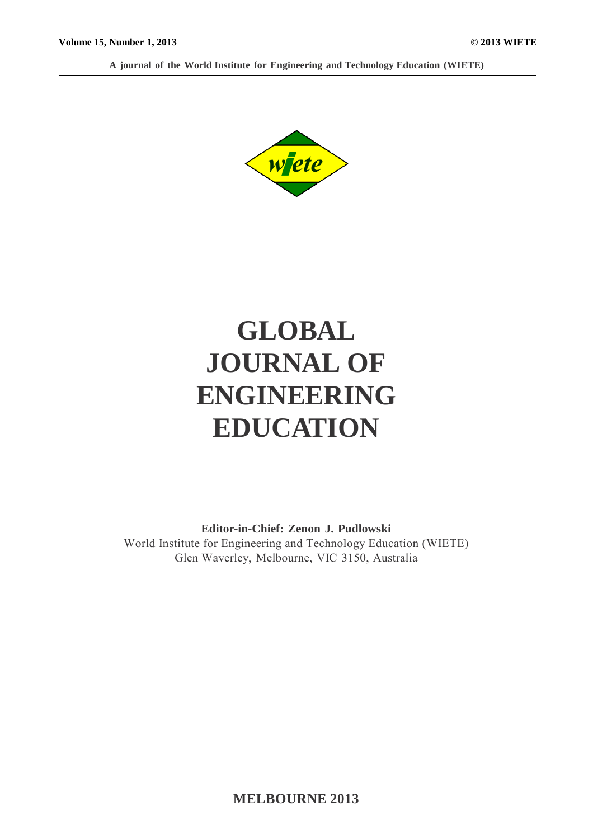**A journal of the World Institute for Engineering and Technology Education (WIETE)**



# **GLOBAL JOURNAL OF ENGINEERING EDUCATION**

**Editor-in-Chief: Zenon J. Pudlowski** World Institute for Engineering and Technology Education (WIETE) Glen Waverley, Melbourne, VIC 3150, Australia

**MELBOURNE 2013**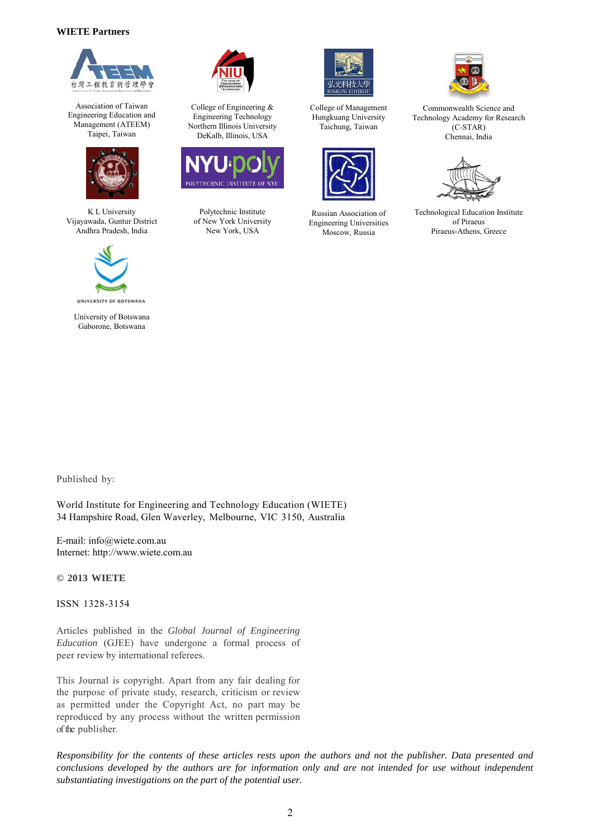#### **WIETE Partners**



Association of Taiwan Engineering Education and Management (ATEEM) Taipei, Taiwan



K L University Vijayawada, Guntur District Andhra Pradesh, India



University of Botswana Gaborone, Botswana



College of Engineering & Engineering Technology Northern Illinois University DeKalb, Illinois, USA



Polytechnic Institute of New York University New York, USA



College of Management Hungkuang University Taichung, Taiwan



Russian Association of Engineering Universities Moscow, Russia



Commonwealth Science and Technology Academy for Research (C-STAR) Chennai, India



Technological Education Institute of Piraeus Piraeus-Athens, Greece

Published by:

World Institute for Engineering and Technology Education (WIETE) 34 Hampshire Road, Glen Waverley, Melbourne, VIC 3150, Australia

E-mail: info@wiete.com.au Internet: http://www.wiete.com.au

#### **© 2013 WIETE**

ISSN 1328-3154

Articles published in the *Global Journal of Engineering Education* (GJEE) have undergone a formal process of peer review by international referees.

This Journal is copyright. Apart from any fair dealing for the purpose of private study, research, criticism or review as permitted under the Copyright Act, no part may be reproduced by any process without the written permission of the publisher.

*Responsibility for the contents of these articles rests upon the authors and not the publisher. Data presented and*  conclusions developed by the authors are for information only and are not intended for use without independent *substantiating investigations on the part of the potential user.*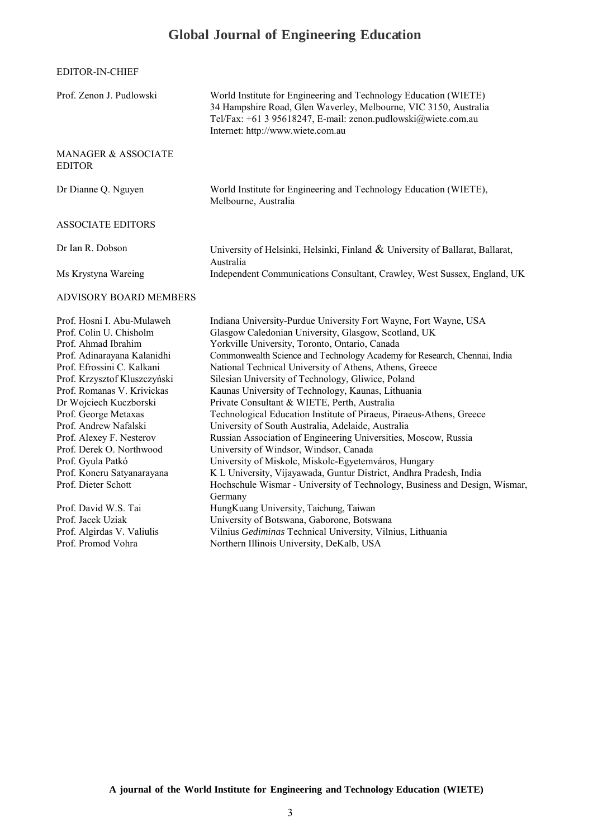## **Global Journal of Engineering Education**

| EDITOR-IN-CHIEF |
|-----------------|
|-----------------|

| Prof. Zenon J. Pudlowski                                                                                                                                                                                                                                                                                                                                                                                             | World Institute for Engineering and Technology Education (WIETE)<br>34 Hampshire Road, Glen Waverley, Melbourne, VIC 3150, Australia<br>Tel/Fax: +61 3 95618247, E-mail: zenon.pudlowski@wiete.com.au<br>Internet: http://www.wiete.com.au                                                                                                                                                                                                                                                                                                                                                                                                                                                                                                                                                                                                                                                                                                      |  |
|----------------------------------------------------------------------------------------------------------------------------------------------------------------------------------------------------------------------------------------------------------------------------------------------------------------------------------------------------------------------------------------------------------------------|-------------------------------------------------------------------------------------------------------------------------------------------------------------------------------------------------------------------------------------------------------------------------------------------------------------------------------------------------------------------------------------------------------------------------------------------------------------------------------------------------------------------------------------------------------------------------------------------------------------------------------------------------------------------------------------------------------------------------------------------------------------------------------------------------------------------------------------------------------------------------------------------------------------------------------------------------|--|
| MANAGER & ASSOCIATE<br><b>EDITOR</b>                                                                                                                                                                                                                                                                                                                                                                                 |                                                                                                                                                                                                                                                                                                                                                                                                                                                                                                                                                                                                                                                                                                                                                                                                                                                                                                                                                 |  |
| Dr Dianne Q. Nguyen                                                                                                                                                                                                                                                                                                                                                                                                  | World Institute for Engineering and Technology Education (WIETE),<br>Melbourne, Australia                                                                                                                                                                                                                                                                                                                                                                                                                                                                                                                                                                                                                                                                                                                                                                                                                                                       |  |
| <b>ASSOCIATE EDITORS</b>                                                                                                                                                                                                                                                                                                                                                                                             |                                                                                                                                                                                                                                                                                                                                                                                                                                                                                                                                                                                                                                                                                                                                                                                                                                                                                                                                                 |  |
| Dr Ian R. Dobson                                                                                                                                                                                                                                                                                                                                                                                                     | University of Helsinki, Helsinki, Finland $\&$ University of Ballarat, Ballarat,<br>Australia                                                                                                                                                                                                                                                                                                                                                                                                                                                                                                                                                                                                                                                                                                                                                                                                                                                   |  |
| Ms Krystyna Wareing                                                                                                                                                                                                                                                                                                                                                                                                  | Independent Communications Consultant, Crawley, West Sussex, England, UK                                                                                                                                                                                                                                                                                                                                                                                                                                                                                                                                                                                                                                                                                                                                                                                                                                                                        |  |
| <b>ADVISORY BOARD MEMBERS</b>                                                                                                                                                                                                                                                                                                                                                                                        |                                                                                                                                                                                                                                                                                                                                                                                                                                                                                                                                                                                                                                                                                                                                                                                                                                                                                                                                                 |  |
| Prof. Hosni I. Abu-Mulaweh<br>Prof. Colin U. Chisholm<br>Prof. Ahmad Ibrahim<br>Prof. Adinarayana Kalanidhi<br>Prof. Efrossini C. Kalkani<br>Prof. Krzysztof Kluszczyński<br>Prof. Romanas V. Krivickas<br>Dr Wojciech Kuczborski<br>Prof. George Metaxas<br>Prof. Andrew Nafalski<br>Prof. Alexey F. Nesterov<br>Prof. Derek O. Northwood<br>Prof. Gyula Patkó<br>Prof. Koneru Satyanarayana<br>Prof. Dieter Schott | Indiana University-Purdue University Fort Wayne, Fort Wayne, USA<br>Glasgow Caledonian University, Glasgow, Scotland, UK<br>Yorkville University, Toronto, Ontario, Canada<br>Commonwealth Science and Technology Academy for Research, Chennai, India<br>National Technical University of Athens, Athens, Greece<br>Silesian University of Technology, Gliwice, Poland<br>Kaunas University of Technology, Kaunas, Lithuania<br>Private Consultant & WIETE, Perth, Australia<br>Technological Education Institute of Piraeus, Piraeus-Athens, Greece<br>University of South Australia, Adelaide, Australia<br>Russian Association of Engineering Universities, Moscow, Russia<br>University of Windsor, Windsor, Canada<br>University of Miskolc, Miskolc-Egyetemváros, Hungary<br>K L University, Vijayawada, Guntur District, Andhra Pradesh, India<br>Hochschule Wismar - University of Technology, Business and Design, Wismar,<br>Germany |  |
| Prof. David W.S. Tai<br>Prof. Jacek Uziak<br>Prof. Algirdas V. Valiulis<br>Prof. Promod Vohra                                                                                                                                                                                                                                                                                                                        | HungKuang University, Taichung, Taiwan<br>University of Botswana, Gaborone, Botswana<br>Vilnius Gediminas Technical University, Vilnius, Lithuania<br>Northern Illinois University, DeKalb, USA                                                                                                                                                                                                                                                                                                                                                                                                                                                                                                                                                                                                                                                                                                                                                 |  |